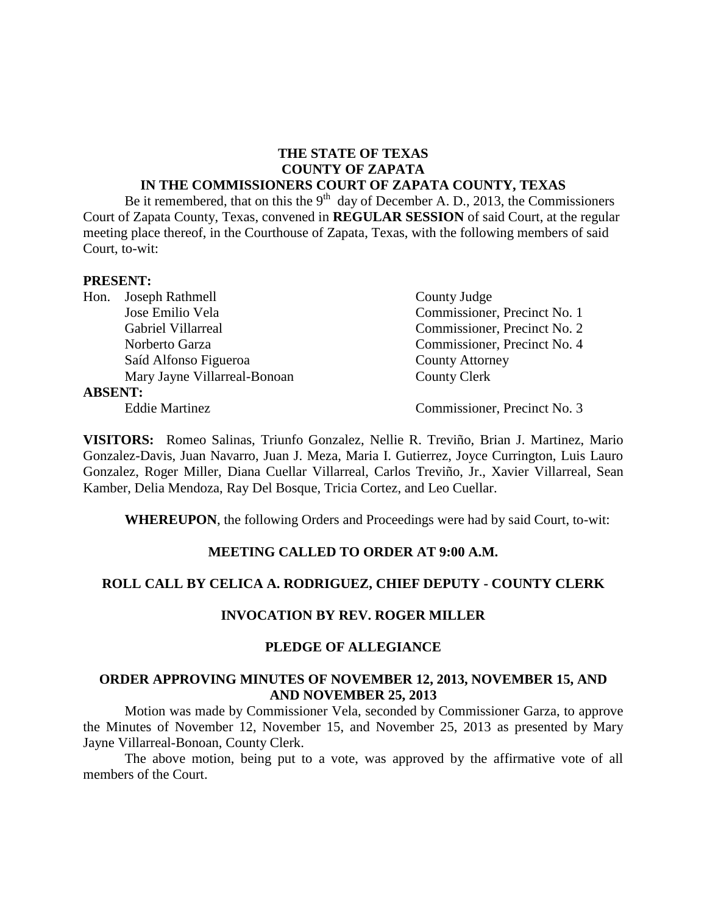## **THE STATE OF TEXAS COUNTY OF ZAPATA**

### **IN THE COMMISSIONERS COURT OF ZAPATA COUNTY, TEXAS**

Be it remembered, that on this the  $9<sup>th</sup>$  day of December A. D., 2013, the Commissioners Court of Zapata County, Texas, convened in **REGULAR SESSION** of said Court, at the regular meeting place thereof, in the Courthouse of Zapata, Texas, with the following members of said Court, to-wit:

#### **PRESENT:**

| Hon.           | Joseph Rathmell              | County Judge                 |
|----------------|------------------------------|------------------------------|
|                | Jose Emilio Vela             | Commissioner, Precinct No. 1 |
|                | Gabriel Villarreal           | Commissioner, Precinct No. 2 |
|                | Norberto Garza               | Commissioner, Precinct No. 4 |
|                | Saíd Alfonso Figueroa        | <b>County Attorney</b>       |
|                | Mary Jayne Villarreal-Bonoan | <b>County Clerk</b>          |
| <b>ABSENT:</b> |                              |                              |
|                | <b>Eddie Martinez</b>        | Commissioner, Precinct No. 3 |

**VISITORS:** Romeo Salinas, Triunfo Gonzalez, Nellie R. Treviño, Brian J. Martinez, Mario Gonzalez-Davis, Juan Navarro, Juan J. Meza, Maria I. Gutierrez, Joyce Currington, Luis Lauro Gonzalez, Roger Miller, Diana Cuellar Villarreal, Carlos Treviño, Jr., Xavier Villarreal, Sean Kamber, Delia Mendoza, Ray Del Bosque, Tricia Cortez, and Leo Cuellar.

**WHEREUPON**, the following Orders and Proceedings were had by said Court, to-wit:

### **MEETING CALLED TO ORDER AT 9:00 A.M.**

### **ROLL CALL BY CELICA A. RODRIGUEZ, CHIEF DEPUTY - COUNTY CLERK**

### **INVOCATION BY REV. ROGER MILLER**

### **PLEDGE OF ALLEGIANCE**

### **ORDER APPROVING MINUTES OF NOVEMBER 12, 2013, NOVEMBER 15, AND AND NOVEMBER 25, 2013**

Motion was made by Commissioner Vela, seconded by Commissioner Garza, to approve the Minutes of November 12, November 15, and November 25, 2013 as presented by Mary Jayne Villarreal-Bonoan, County Clerk.

The above motion, being put to a vote, was approved by the affirmative vote of all members of the Court.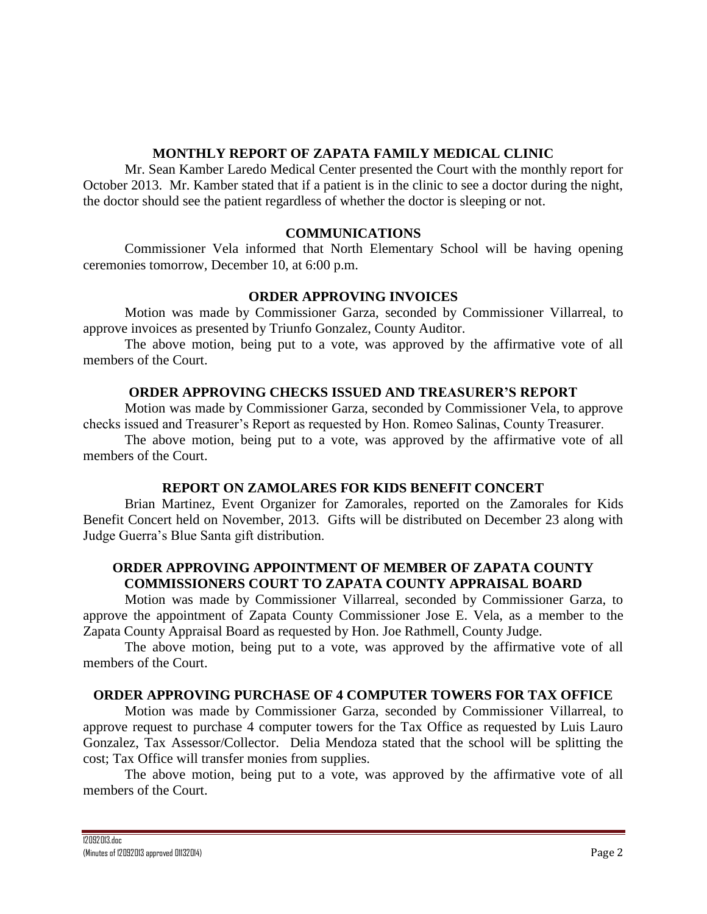## **MONTHLY REPORT OF ZAPATA FAMILY MEDICAL CLINIC**

Mr. Sean Kamber Laredo Medical Center presented the Court with the monthly report for October 2013. Mr. Kamber stated that if a patient is in the clinic to see a doctor during the night, the doctor should see the patient regardless of whether the doctor is sleeping or not.

### **COMMUNICATIONS**

Commissioner Vela informed that North Elementary School will be having opening ceremonies tomorrow, December 10, at 6:00 p.m.

## **ORDER APPROVING INVOICES**

Motion was made by Commissioner Garza, seconded by Commissioner Villarreal, to approve invoices as presented by Triunfo Gonzalez, County Auditor.

The above motion, being put to a vote, was approved by the affirmative vote of all members of the Court.

## **ORDER APPROVING CHECKS ISSUED AND TREASURER'S REPORT**

Motion was made by Commissioner Garza, seconded by Commissioner Vela, to approve checks issued and Treasurer's Report as requested by Hon. Romeo Salinas, County Treasurer.

The above motion, being put to a vote, was approved by the affirmative vote of all members of the Court.

## **REPORT ON ZAMOLARES FOR KIDS BENEFIT CONCERT**

Brian Martinez, Event Organizer for Zamorales, reported on the Zamorales for Kids Benefit Concert held on November, 2013. Gifts will be distributed on December 23 along with Judge Guerra's Blue Santa gift distribution.

## **ORDER APPROVING APPOINTMENT OF MEMBER OF ZAPATA COUNTY COMMISSIONERS COURT TO ZAPATA COUNTY APPRAISAL BOARD**

Motion was made by Commissioner Villarreal, seconded by Commissioner Garza, to approve the appointment of Zapata County Commissioner Jose E. Vela, as a member to the Zapata County Appraisal Board as requested by Hon. Joe Rathmell, County Judge.

The above motion, being put to a vote, was approved by the affirmative vote of all members of the Court.

## **ORDER APPROVING PURCHASE OF 4 COMPUTER TOWERS FOR TAX OFFICE**

Motion was made by Commissioner Garza, seconded by Commissioner Villarreal, to approve request to purchase 4 computer towers for the Tax Office as requested by Luis Lauro Gonzalez, Tax Assessor/Collector. Delia Mendoza stated that the school will be splitting the cost; Tax Office will transfer monies from supplies.

The above motion, being put to a vote, was approved by the affirmative vote of all members of the Court.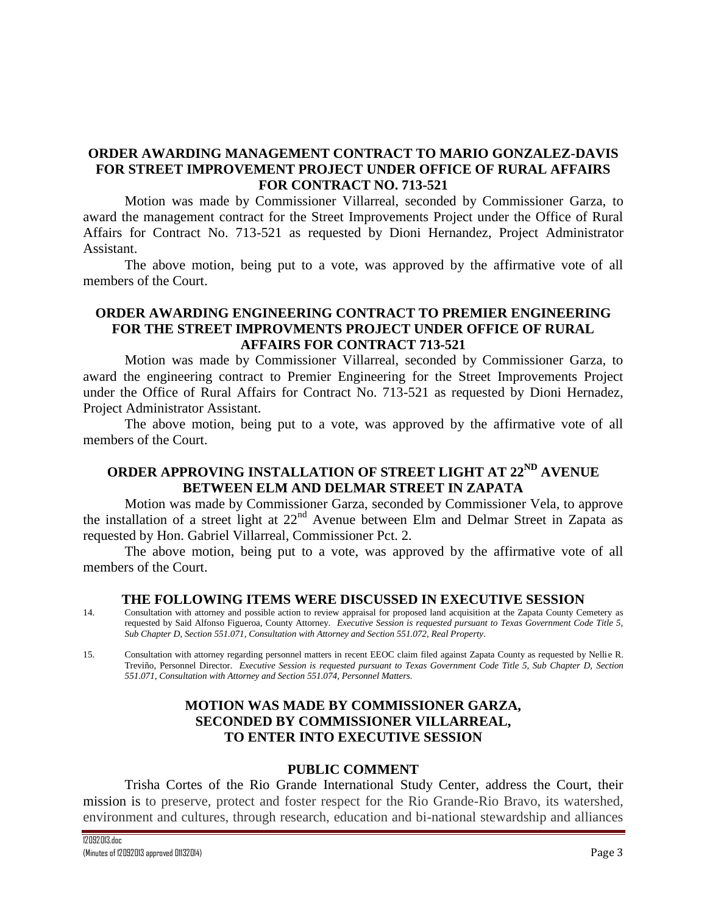## **ORDER AWARDING MANAGEMENT CONTRACT TO MARIO GONZALEZ-DAVIS FOR STREET IMPROVEMENT PROJECT UNDER OFFICE OF RURAL AFFAIRS FOR CONTRACT NO. 713-521**

Motion was made by Commissioner Villarreal, seconded by Commissioner Garza, to award the management contract for the Street Improvements Project under the Office of Rural Affairs for Contract No. 713-521 as requested by Dioni Hernandez, Project Administrator Assistant.

The above motion, being put to a vote, was approved by the affirmative vote of all members of the Court.

## **ORDER AWARDING ENGINEERING CONTRACT TO PREMIER ENGINEERING FOR THE STREET IMPROVMENTS PROJECT UNDER OFFICE OF RURAL AFFAIRS FOR CONTRACT 713-521**

Motion was made by Commissioner Villarreal, seconded by Commissioner Garza, to award the engineering contract to Premier Engineering for the Street Improvements Project under the Office of Rural Affairs for Contract No. 713-521 as requested by Dioni Hernadez, Project Administrator Assistant.

The above motion, being put to a vote, was approved by the affirmative vote of all members of the Court.

# **ORDER APPROVING INSTALLATION OF STREET LIGHT AT 22ND AVENUE BETWEEN ELM AND DELMAR STREET IN ZAPATA**

Motion was made by Commissioner Garza, seconded by Commissioner Vela, to approve the installation of a street light at 22nd Avenue between Elm and Delmar Street in Zapata as requested by Hon. Gabriel Villarreal, Commissioner Pct. 2.

The above motion, being put to a vote, was approved by the affirmative vote of all members of the Court.

#### **THE FOLLOWING ITEMS WERE DISCUSSED IN EXECUTIVE SESSION**

- 14. Consultation with attorney and possible action to review appraisal for proposed land acquisition at the Zapata County Cemetery as requested by Said Alfonso Figueroa, County Attorney*. Executive Session is requested pursuant to Texas Government Code Title 5, Sub Chapter D, Section 551.071, Consultation with Attorney and Section 551.072, Real Property.*
- 15. Consultation with attorney regarding personnel matters in recent EEOC claim filed against Zapata County as requested by Nellie R. Treviño, Personnel Director. *Executive Session is requested pursuant to Texas Government Code Title 5, Sub Chapter D, Section 551.071, Consultation with Attorney and Section 551.074, Personnel Matters.*

## **MOTION WAS MADE BY COMMISSIONER GARZA, SECONDED BY COMMISSIONER VILLARREAL, TO ENTER INTO EXECUTIVE SESSION**

### **PUBLIC COMMENT**

Trisha Cortes of the Rio Grande International Study Center, address the Court, their mission is to preserve, protect and foster respect for the Rio Grande-Rio Bravo, its watershed, environment and cultures, through research, education and bi-national stewardship and alliances